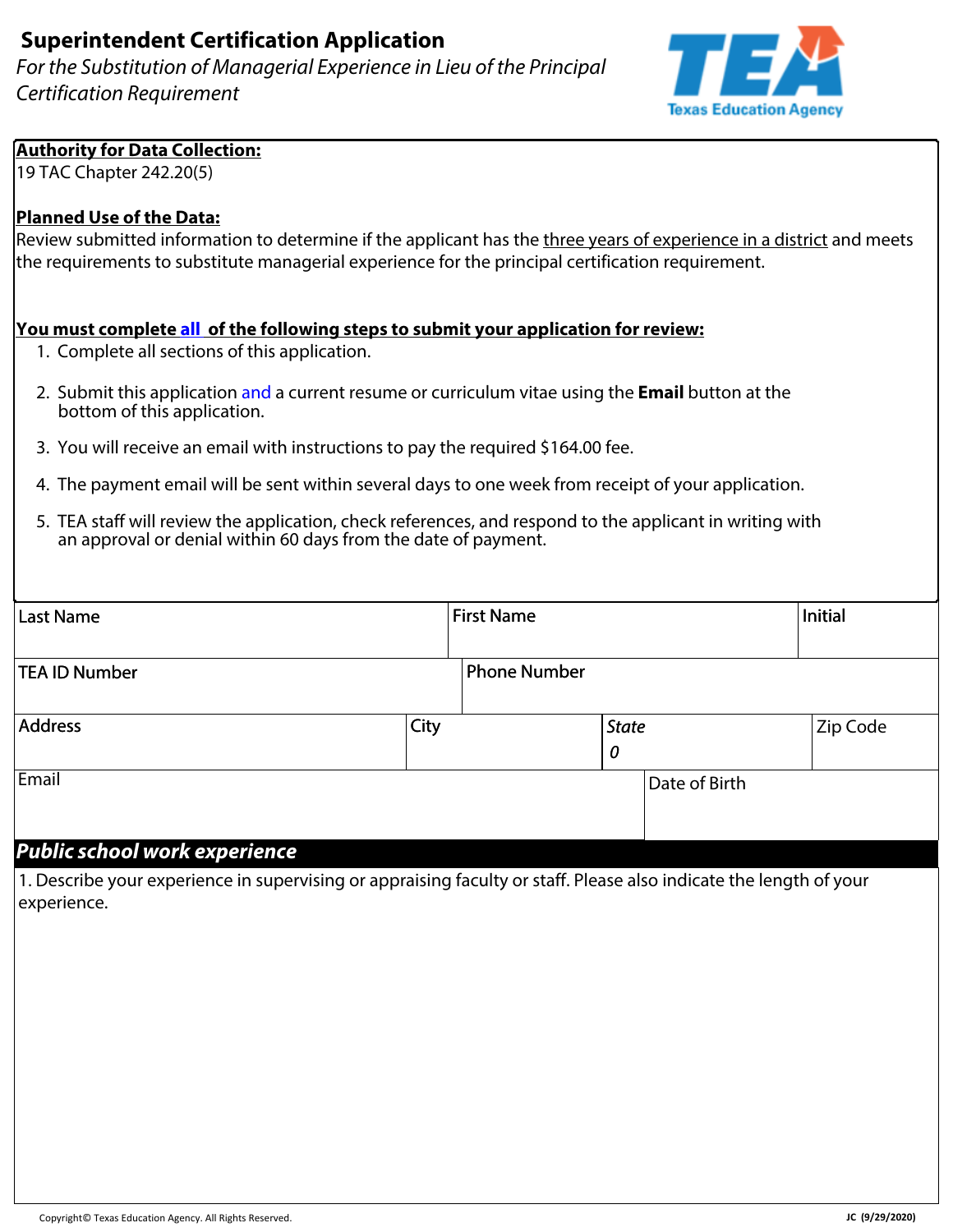*For the Substitution of Managerial Experience in Lieu of the Principal Certification Requirement*



#### **Authority for Data Collection:**

19 TAC Chapter 242.20(5)

### **Planned Use of the Data:**

Review submitted information to determine if the applicant has the three years of experience in a district and meets the requirements to substitute managerial experience for the principal certification requirement.

#### **You must complete all of the following steps to submit your application for review:**

- 1. Complete all sections of this application.
- 2. Submit this application and a current resume or curriculum vitae using the **Email** button at the bottom of this application.
- 3. You will receive an email with instructions to pay the required \$164.00 fee.
- 4. The payment email will be sent within several days to one week from receipt of your application.
- 5. TEA staff will review the application, check references, and respond to the applicant in writing with an approval or denial within 60 days from the date of payment.

| Last Name                                                                                                                |      | <b>First Name</b>   |                   |               | Initial  |
|--------------------------------------------------------------------------------------------------------------------------|------|---------------------|-------------------|---------------|----------|
| TEA ID Number                                                                                                            |      | <b>Phone Number</b> |                   |               |          |
| Address                                                                                                                  | City |                     | <b>State</b><br>0 |               | Zip Code |
| Email<br>$\sim$ $\sim$ $\sim$ $\sim$ $\sim$ $\sim$ $\sim$<br>$\mathbf{r}$ and $\mathbf{r}$ and $\mathbf{r}$<br>$\bullet$ |      |                     |                   | Date of Birth |          |

### *Public school work experience*

1. Describe your experience in supervising or appraising faculty or staff. Please also indicate the length of your experience.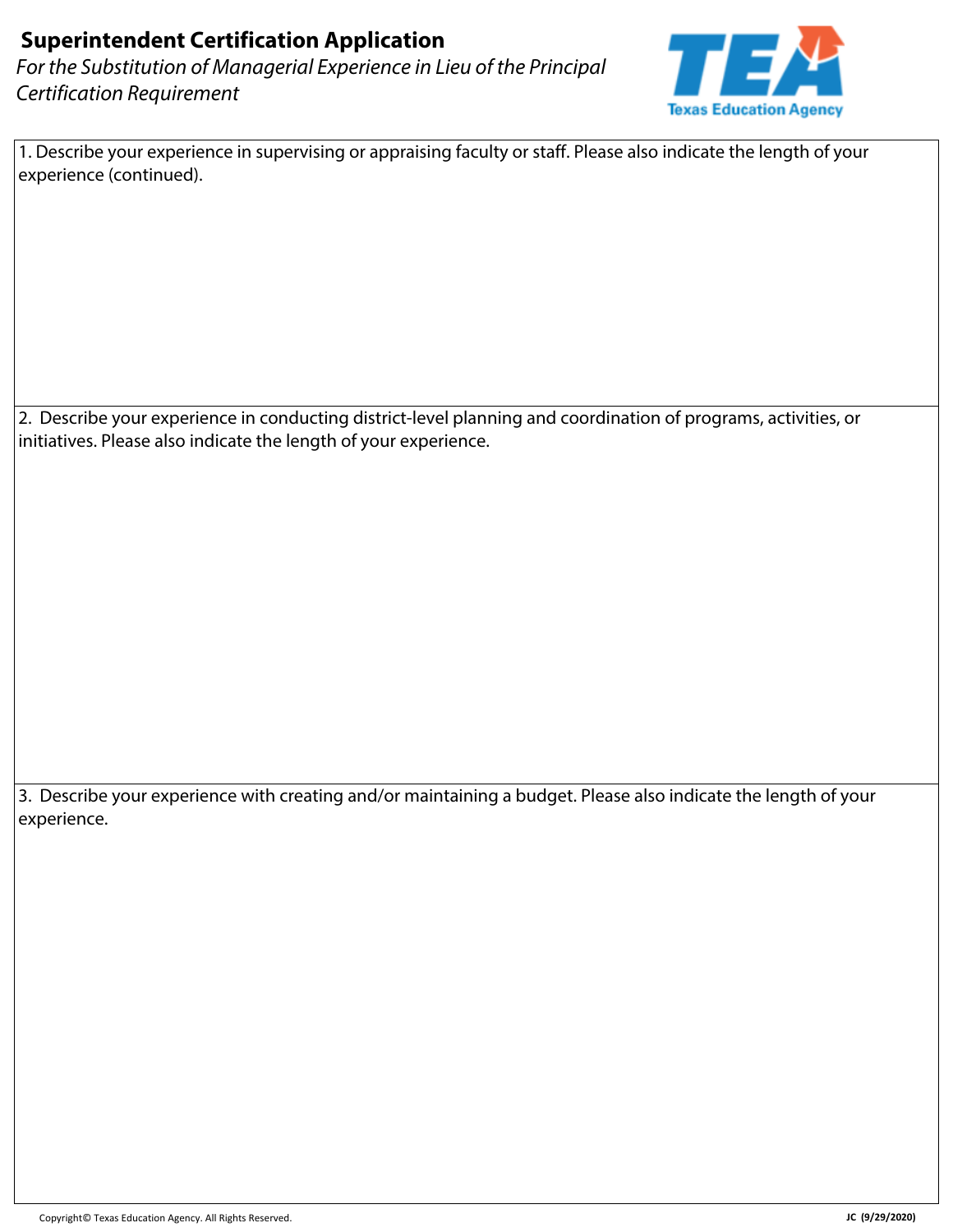*For the Substitution of Managerial Experience in Lieu of the Principal Certification Requirement*



1. Describe your experience in supervising or appraising faculty or staff. Please also indicate the length of your experience (continued).

2. Describe your experience in conducting district-level planning and coordination of programs, activities, or initiatives. Please also indicate the length of your experience.

3. Describe your experience with creating and/or maintaining a budget. Please also indicate the length of your experience.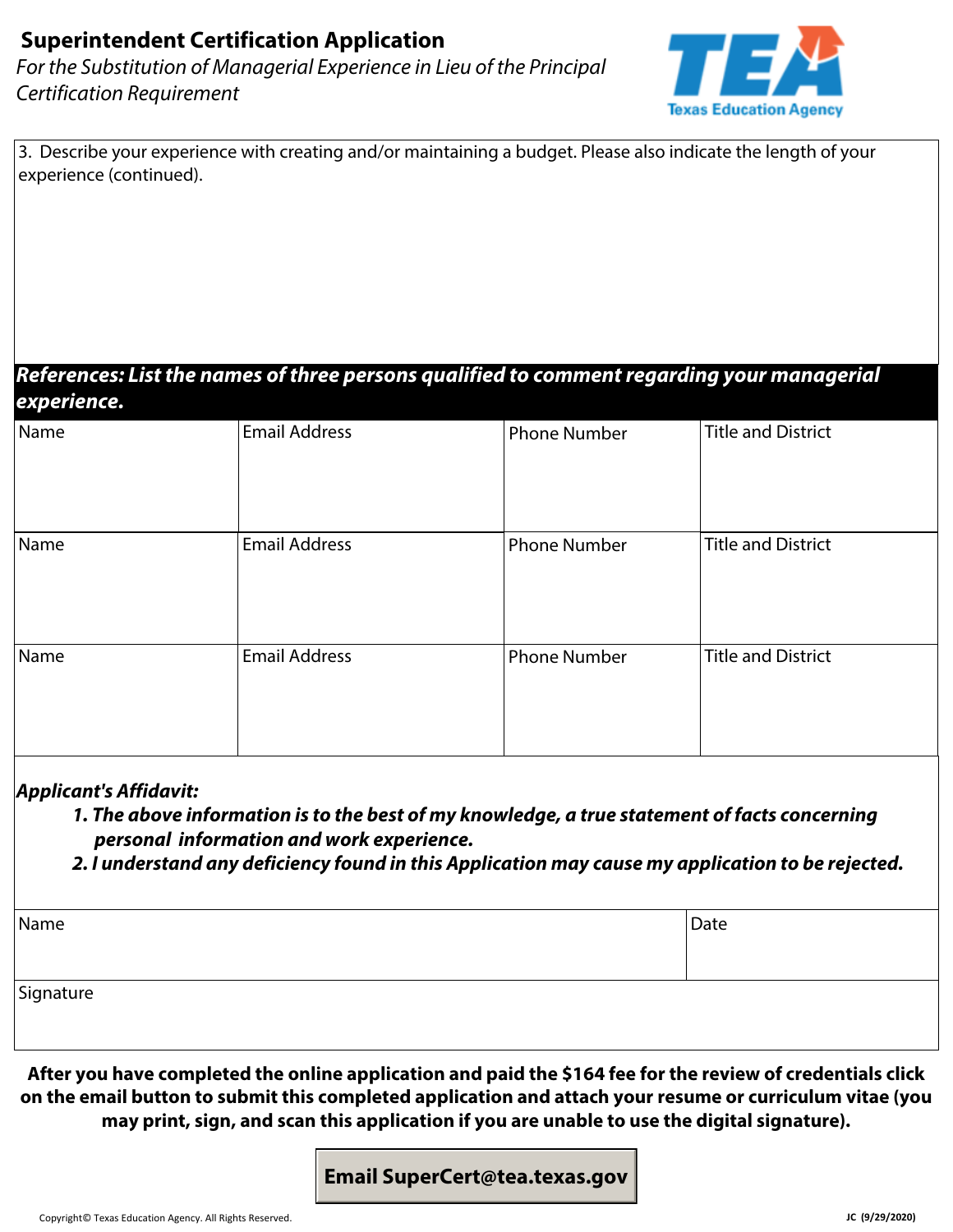*For the Substitution of Managerial Experience in Lieu of the Principal Certification Requirement*



| 3. Describe your experience with creating and/or maintaining a budget. Please also indicate the length of your |  |
|----------------------------------------------------------------------------------------------------------------|--|
| experience (continued).                                                                                        |  |

#### *References: List the names of three persons qualified to comment regarding your managerial experience.*

| E    |                      |                     |                           |
|------|----------------------|---------------------|---------------------------|
| Name | <b>Email Address</b> | <b>Phone Number</b> | <b>Title and District</b> |
| Name | <b>Email Address</b> | <b>Phone Number</b> | Title and District        |
| Name | <b>Email Address</b> | <b>Phone Number</b> | Title and District        |

### *Applicant's Affidavit:*

- *1. The above information is to the best of my knowledge, a true statement of facts concerning personal information and work experience.*
- *2. I understand any deficiency found in this Application may cause my application to be rejected.*

| Name      | Date |
|-----------|------|
| Signature |      |

**After you have completed the online application and paid the \$164 fee for the review of credentials click on the email button to submit this completed application and attach your resume or curriculum vitae (you may print, sign, and scan this application if you are unable to use the digital signature).** 

### **Email SuperCert@tea.texas.gov**